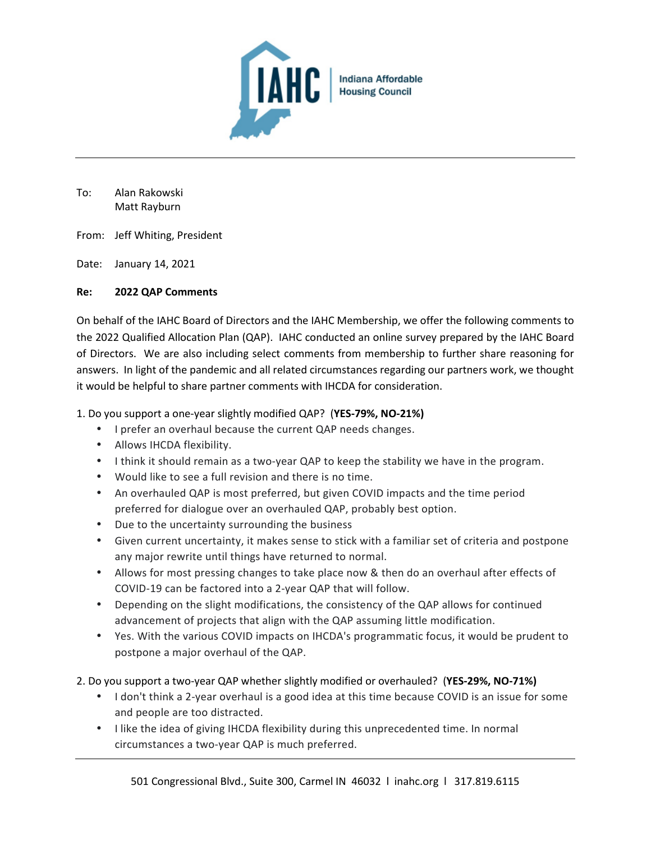

To: Alan Rakowski Matt Rayburn

From: Jeff Whiting, President

Date: January 14, 2021

#### **Re: 2022 QAP Comments**

On behalf of the IAHC Board of Directors and the IAHC Membership, we offer the following comments to the 2022 Qualified Allocation Plan (QAP). IAHC conducted an online survey prepared by the IAHC Board of Directors. We are also including select comments from membership to further share reasoning for answers. In light of the pandemic and all related circumstances regarding our partners work, we thought it would be helpful to share partner comments with IHCDA for consideration.

1. Do you support a one-year slightly modified QAP? (**YES-79%, NO-21%)**

- I prefer an overhaul because the current QAP needs changes.
- Allows IHCDA flexibility.
- I think it should remain as a two-year QAP to keep the stability we have in the program.
- Would like to see a full revision and there is no time.
- An overhauled QAP is most preferred, but given COVID impacts and the time period preferred for dialogue over an overhauled QAP, probably best option.
- Due to the uncertainty surrounding the business
- Given current uncertainty, it makes sense to stick with a familiar set of criteria and postpone any major rewrite until things have returned to normal.
- Allows for most pressing changes to take place now & then do an overhaul after effects of COVID-19 can be factored into a 2-year QAP that will follow.
- Depending on the slight modifications, the consistency of the QAP allows for continued advancement of projects that align with the QAP assuming little modification.
- Yes. With the various COVID impacts on IHCDA's programmatic focus, it would be prudent to postpone a major overhaul of the QAP.

2. Do you support a two-year QAP whether slightly modified or overhauled? (**YES-29%, NO-71%)**

- I don't think a 2-year overhaul is a good idea at this time because COVID is an issue for some and people are too distracted.
- I like the idea of giving IHCDA flexibility during this unprecedented time. In normal circumstances a two-year QAP is much preferred.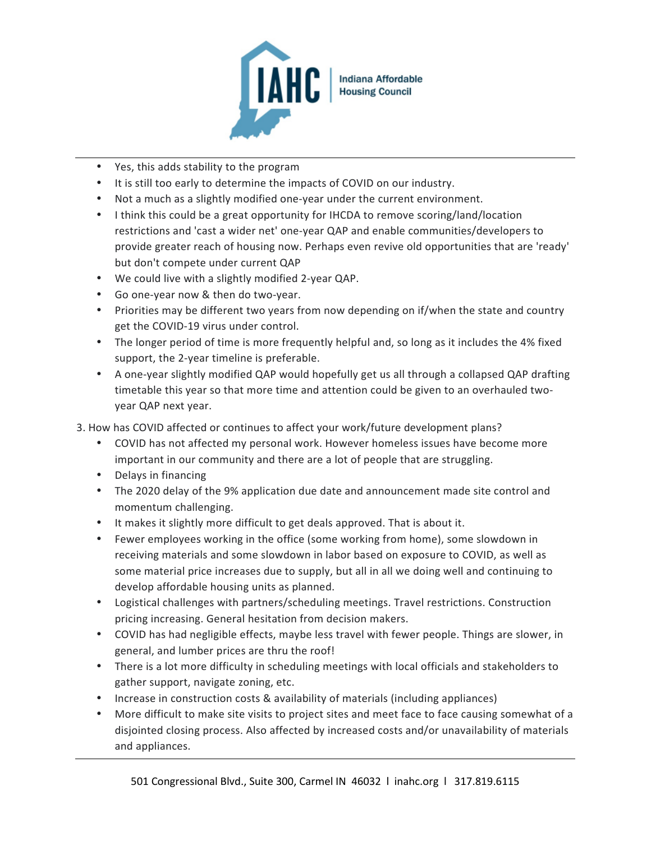

- Yes, this adds stability to the program
- It is still too early to determine the impacts of COVID on our industry.
- Not a much as a slightly modified one-year under the current environment.
- I think this could be a great opportunity for IHCDA to remove scoring/land/location restrictions and 'cast a wider net' one-year QAP and enable communities/developers to provide greater reach of housing now. Perhaps even revive old opportunities that are 'ready' but don't compete under current QAP
- We could live with a slightly modified 2-year QAP.
- Go one-year now & then do two-year.
- Priorities may be different two years from now depending on if/when the state and country get the COVID-19 virus under control.
- The longer period of time is more frequently helpful and, so long as it includes the 4% fixed support, the 2-year timeline is preferable.
- A one-year slightly modified QAP would hopefully get us all through a collapsed QAP drafting timetable this year so that more time and attention could be given to an overhauled twoyear QAP next year.
- 3. How has COVID affected or continues to affect your work/future development plans?
	- COVID has not affected my personal work. However homeless issues have become more important in our community and there are a lot of people that are struggling.
	- Delays in financing
	- The 2020 delay of the 9% application due date and announcement made site control and momentum challenging.
	- It makes it slightly more difficult to get deals approved. That is about it.
	- Fewer employees working in the office (some working from home), some slowdown in receiving materials and some slowdown in labor based on exposure to COVID, as well as some material price increases due to supply, but all in all we doing well and continuing to develop affordable housing units as planned.
	- Logistical challenges with partners/scheduling meetings. Travel restrictions. Construction pricing increasing. General hesitation from decision makers.
	- COVID has had negligible effects, maybe less travel with fewer people. Things are slower, in general, and lumber prices are thru the roof!
	- There is a lot more difficulty in scheduling meetings with local officials and stakeholders to gather support, navigate zoning, etc.
	- Increase in construction costs & availability of materials (including appliances)
	- More difficult to make site visits to project sites and meet face to face causing somewhat of a disjointed closing process. Also affected by increased costs and/or unavailability of materials and appliances.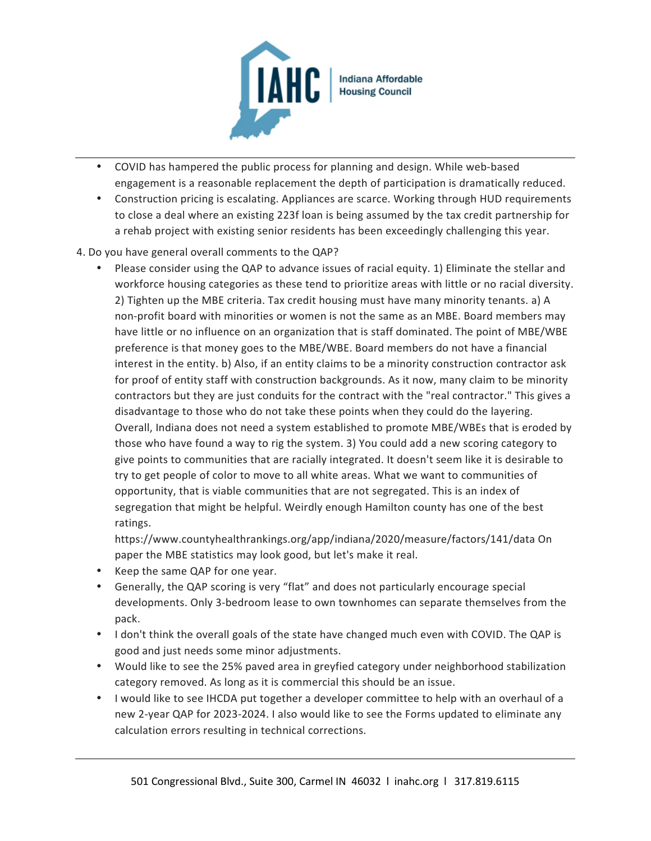

- COVID has hampered the public process for planning and design. While web-based engagement is a reasonable replacement the depth of participation is dramatically reduced.
- Construction pricing is escalating. Appliances are scarce. Working through HUD requirements to close a deal where an existing 223f loan is being assumed by the tax credit partnership for a rehab project with existing senior residents has been exceedingly challenging this year.

### 4. Do you have general overall comments to the QAP?

• Please consider using the QAP to advance issues of racial equity. 1) Eliminate the stellar and workforce housing categories as these tend to prioritize areas with little or no racial diversity. 2) Tighten up the MBE criteria. Tax credit housing must have many minority tenants. a) A non-profit board with minorities or women is not the same as an MBE. Board members may have little or no influence on an organization that is staff dominated. The point of MBE/WBE preference is that money goes to the MBE/WBE. Board members do not have a financial interest in the entity. b) Also, if an entity claims to be a minority construction contractor ask for proof of entity staff with construction backgrounds. As it now, many claim to be minority contractors but they are just conduits for the contract with the "real contractor." This gives a disadvantage to those who do not take these points when they could do the layering. Overall, Indiana does not need a system established to promote MBE/WBEs that is eroded by those who have found a way to rig the system. 3) You could add a new scoring category to give points to communities that are racially integrated. It doesn't seem like it is desirable to try to get people of color to move to all white areas. What we want to communities of opportunity, that is viable communities that are not segregated. This is an index of segregation that might be helpful. Weirdly enough Hamilton county has one of the best ratings.

https://www.countyhealthrankings.org/app/indiana/2020/measure/factors/141/data On paper the MBE statistics may look good, but let's make it real.

- Keep the same QAP for one year.
- Generally, the QAP scoring is very "flat" and does not particularly encourage special developments. Only 3-bedroom lease to own townhomes can separate themselves from the pack.
- I don't think the overall goals of the state have changed much even with COVID. The QAP is good and just needs some minor adjustments.
- Would like to see the 25% paved area in greyfied category under neighborhood stabilization category removed. As long as it is commercial this should be an issue.
- I would like to see IHCDA put together a developer committee to help with an overhaul of a new 2-year QAP for 2023-2024. I also would like to see the Forms updated to eliminate any calculation errors resulting in technical corrections.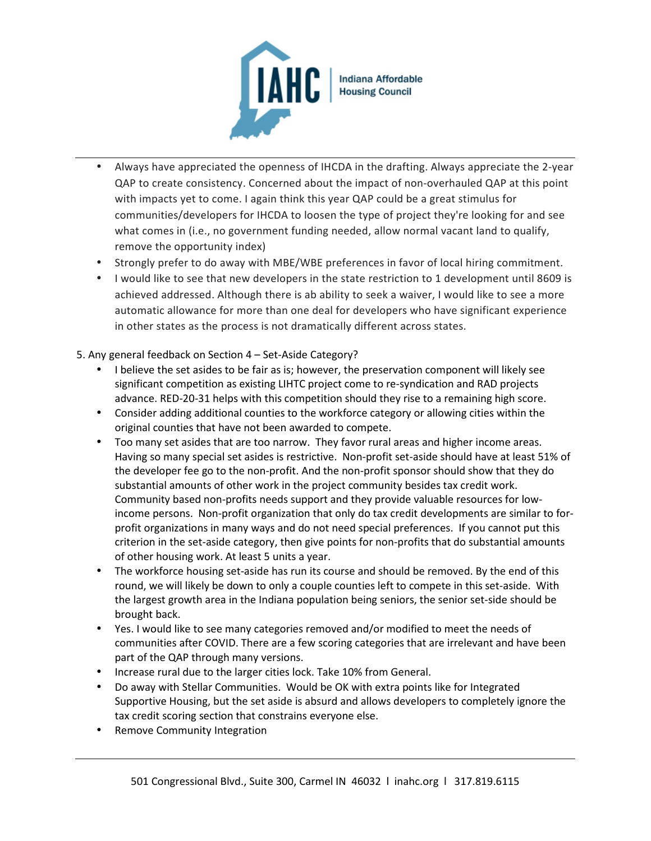

- Always have appreciated the openness of IHCDA in the drafting. Always appreciate the 2-year QAP to create consistency. Concerned about the impact of non-overhauled QAP at this point with impacts yet to come. I again think this year QAP could be a great stimulus for communities/developers for IHCDA to loosen the type of project they're looking for and see what comes in (i.e., no government funding needed, allow normal vacant land to qualify, remove the opportunity index)
- Strongly prefer to do away with MBE/WBE preferences in favor of local hiring commitment.
- I would like to see that new developers in the state restriction to 1 development until 8609 is achieved addressed. Although there is ab ability to seek a waiver, I would like to see a more automatic allowance for more than one deal for developers who have significant experience in other states as the process is not dramatically different across states.
- 5. Any general feedback on Section 4 Set-Aside Category?
	- I believe the set asides to be fair as is; however, the preservation component will likely see significant competition as existing LIHTC project come to re-syndication and RAD projects advance. RED-20-31 helps with this competition should they rise to a remaining high score.
	- Consider adding additional counties to the workforce category or allowing cities within the original counties that have not been awarded to compete.
	- Too many set asides that are too narrow. They favor rural areas and higher income areas. Having so many special set asides is restrictive. Non-profit set-aside should have at least 51% of the developer fee go to the non-profit. And the non-profit sponsor should show that they do substantial amounts of other work in the project community besides tax credit work. Community based non-profits needs support and they provide valuable resources for lowincome persons. Non-profit organization that only do tax credit developments are similar to forprofit organizations in many ways and do not need special preferences. If you cannot put this criterion in the set-aside category, then give points for non-profits that do substantial amounts of other housing work. At least 5 units a year.
	- The workforce housing set-aside has run its course and should be removed. By the end of this round, we will likely be down to only a couple counties left to compete in this set-aside. With the largest growth area in the Indiana population being seniors, the senior set-side should be brought back.
	- Yes. I would like to see many categories removed and/or modified to meet the needs of communities after COVID. There are a few scoring categories that are irrelevant and have been part of the QAP through many versions.
	- Increase rural due to the larger cities lock. Take 10% from General.
	- Do away with Stellar Communities. Would be OK with extra points like for Integrated Supportive Housing, but the set aside is absurd and allows developers to completely ignore the tax credit scoring section that constrains everyone else.
	- Remove Community Integration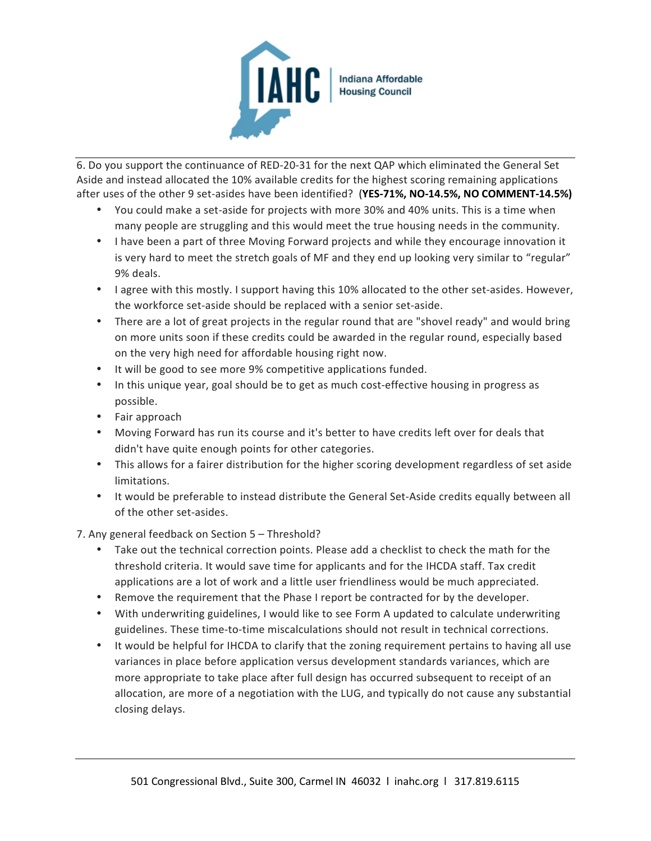

6. Do you support the continuance of RED-20-31 for the next QAP which eliminated the General Set Aside and instead allocated the 10% available credits for the highest scoring remaining applications after uses of the other 9 set-asides have been identified? (**YES-71%, NO-14.5%, NO COMMENT-14.5%)**

- You could make a set-aside for projects with more 30% and 40% units. This is a time when many people are struggling and this would meet the true housing needs in the community.
- I have been a part of three Moving Forward projects and while they encourage innovation it is very hard to meet the stretch goals of MF and they end up looking very similar to "regular" 9% deals.
- I agree with this mostly. I support having this 10% allocated to the other set-asides. However, the workforce set-aside should be replaced with a senior set-aside.
- There are a lot of great projects in the regular round that are "shovel ready" and would bring on more units soon if these credits could be awarded in the regular round, especially based on the very high need for affordable housing right now.
- It will be good to see more 9% competitive applications funded.
- In this unique year, goal should be to get as much cost-effective housing in progress as possible.
- Fair approach
- Moving Forward has run its course and it's better to have credits left over for deals that didn't have quite enough points for other categories.
- This allows for a fairer distribution for the higher scoring development regardless of set aside limitations.
- It would be preferable to instead distribute the General Set-Aside credits equally between all of the other set-asides.
- 7. Any general feedback on Section 5 Threshold?
	- Take out the technical correction points. Please add a checklist to check the math for the threshold criteria. It would save time for applicants and for the IHCDA staff. Tax credit applications are a lot of work and a little user friendliness would be much appreciated.
	- Remove the requirement that the Phase I report be contracted for by the developer.
	- With underwriting guidelines, I would like to see Form A updated to calculate underwriting guidelines. These time-to-time miscalculations should not result in technical corrections.
	- It would be helpful for IHCDA to clarify that the zoning requirement pertains to having all use variances in place before application versus development standards variances, which are more appropriate to take place after full design has occurred subsequent to receipt of an allocation, are more of a negotiation with the LUG, and typically do not cause any substantial closing delays.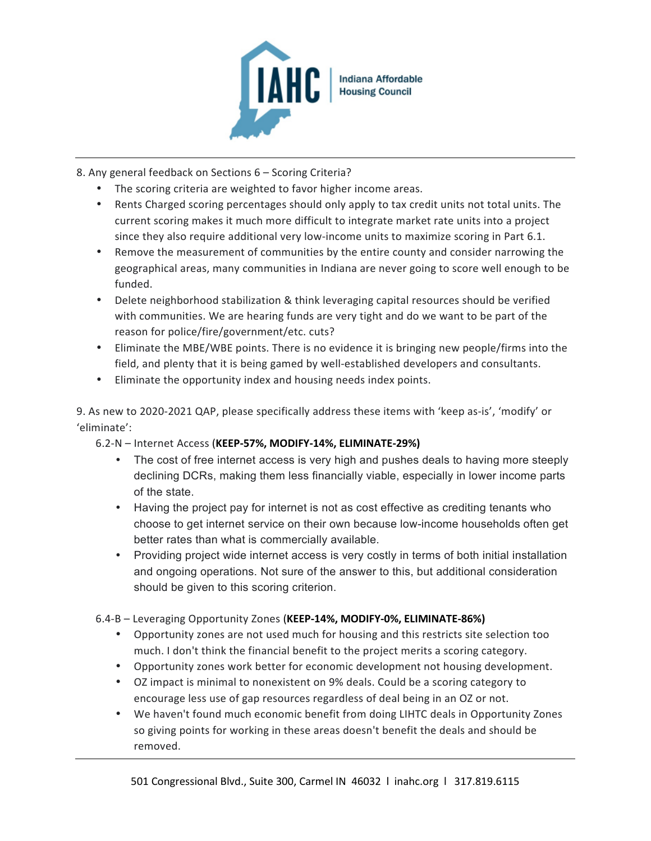

8. Any general feedback on Sections 6 – Scoring Criteria?

- The scoring criteria are weighted to favor higher income areas.
- Rents Charged scoring percentages should only apply to tax credit units not total units. The current scoring makes it much more difficult to integrate market rate units into a project since they also require additional very low-income units to maximize scoring in Part 6.1.
- Remove the measurement of communities by the entire county and consider narrowing the geographical areas, many communities in Indiana are never going to score well enough to be funded.
- Delete neighborhood stabilization & think leveraging capital resources should be verified with communities. We are hearing funds are very tight and do we want to be part of the reason for police/fire/government/etc. cuts?
- Eliminate the MBE/WBE points. There is no evidence it is bringing new people/firms into the field, and plenty that it is being gamed by well-established developers and consultants.
- Eliminate the opportunity index and housing needs index points.

9. As new to 2020-2021 QAP, please specifically address these items with 'keep as-is', 'modify' or 'eliminate':

6.2-N – Internet Access (**KEEP-57%, MODIFY-14%, ELIMINATE-29%)**

- The cost of free internet access is very high and pushes deals to having more steeply declining DCRs, making them less financially viable, especially in lower income parts of the state.
- Having the project pay for internet is not as cost effective as crediting tenants who choose to get internet service on their own because low-income households often get better rates than what is commercially available.
- Providing project wide internet access is very costly in terms of both initial installation and ongoing operations. Not sure of the answer to this, but additional consideration should be given to this scoring criterion.

### 6.4-B – Leveraging Opportunity Zones (**KEEP-14%, MODIFY-0%, ELIMINATE-86%)**

- Opportunity zones are not used much for housing and this restricts site selection too much. I don't think the financial benefit to the project merits a scoring category.
- Opportunity zones work better for economic development not housing development.
- OZ impact is minimal to nonexistent on 9% deals. Could be a scoring category to encourage less use of gap resources regardless of deal being in an OZ or not.
- We haven't found much economic benefit from doing LIHTC deals in Opportunity Zones so giving points for working in these areas doesn't benefit the deals and should be removed.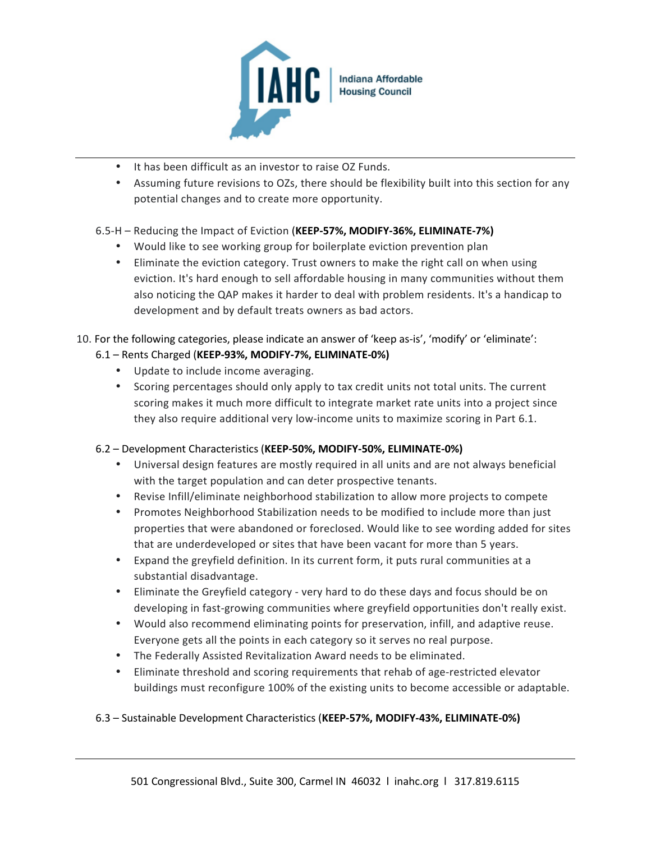

- It has been difficult as an investor to raise OZ Funds.
- Assuming future revisions to OZs, there should be flexibility built into this section for any potential changes and to create more opportunity.

# 6.5-H – Reducing the Impact of Eviction (**KEEP-57%, MODIFY-36%, ELIMINATE-7%)**

- Would like to see working group for boilerplate eviction prevention plan
- Eliminate the eviction category. Trust owners to make the right call on when using eviction. It's hard enough to sell affordable housing in many communities without them also noticing the QAP makes it harder to deal with problem residents. It's a handicap to development and by default treats owners as bad actors.

10. For the following categories, please indicate an answer of 'keep as-is', 'modify' or 'eliminate':

# 6.1 – Rents Charged (**KEEP-93%, MODIFY-7%, ELIMINATE-0%)**

- Update to include income averaging.
- Scoring percentages should only apply to tax credit units not total units. The current scoring makes it much more difficult to integrate market rate units into a project since they also require additional very low-income units to maximize scoring in Part 6.1.

### 6.2 – Development Characteristics (**KEEP-50%, MODIFY-50%, ELIMINATE-0%)**

- Universal design features are mostly required in all units and are not always beneficial with the target population and can deter prospective tenants.
- Revise Infill/eliminate neighborhood stabilization to allow more projects to compete
- Promotes Neighborhood Stabilization needs to be modified to include more than just properties that were abandoned or foreclosed. Would like to see wording added for sites that are underdeveloped or sites that have been vacant for more than 5 years.
- Expand the greyfield definition. In its current form, it puts rural communities at a substantial disadvantage.
- Eliminate the Greyfield category very hard to do these days and focus should be on developing in fast-growing communities where greyfield opportunities don't really exist.
- Would also recommend eliminating points for preservation, infill, and adaptive reuse. Everyone gets all the points in each category so it serves no real purpose.
- The Federally Assisted Revitalization Award needs to be eliminated.
- Eliminate threshold and scoring requirements that rehab of age-restricted elevator buildings must reconfigure 100% of the existing units to become accessible or adaptable.

# 6.3 – Sustainable Development Characteristics (**KEEP-57%, MODIFY-43%, ELIMINATE-0%)**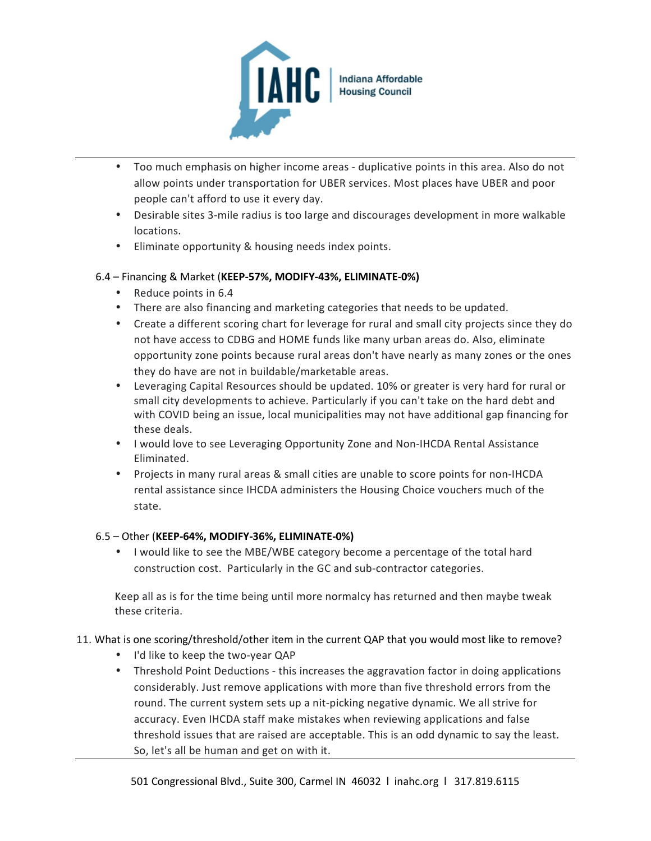

- Too much emphasis on higher income areas duplicative points in this area. Also do not allow points under transportation for UBER services. Most places have UBER and poor people can't afford to use it every day.
- Desirable sites 3-mile radius is too large and discourages development in more walkable locations.
- Eliminate opportunity & housing needs index points.

### 6.4 – Financing & Market (**KEEP-57%, MODIFY-43%, ELIMINATE-0%)**

- Reduce points in 6.4
- There are also financing and marketing categories that needs to be updated.
- Create a different scoring chart for leverage for rural and small city projects since they do not have access to CDBG and HOME funds like many urban areas do. Also, eliminate opportunity zone points because rural areas don't have nearly as many zones or the ones they do have are not in buildable/marketable areas.
- Leveraging Capital Resources should be updated. 10% or greater is very hard for rural or small city developments to achieve. Particularly if you can't take on the hard debt and with COVID being an issue, local municipalities may not have additional gap financing for these deals.
- I would love to see Leveraging Opportunity Zone and Non-IHCDA Rental Assistance Eliminated.
- Projects in many rural areas & small cities are unable to score points for non-IHCDA rental assistance since IHCDA administers the Housing Choice vouchers much of the state.

### 6.5 – Other (**KEEP-64%, MODIFY-36%, ELIMINATE-0%)**

• I would like to see the MBE/WBE category become a percentage of the total hard construction cost. Particularly in the GC and sub-contractor categories.

Keep all as is for the time being until more normalcy has returned and then maybe tweak these criteria.

### 11. What is one scoring/threshold/other item in the current QAP that you would most like to remove?

- I'd like to keep the two-year QAP
- Threshold Point Deductions this increases the aggravation factor in doing applications considerably. Just remove applications with more than five threshold errors from the round. The current system sets up a nit-picking negative dynamic. We all strive for accuracy. Even IHCDA staff make mistakes when reviewing applications and false threshold issues that are raised are acceptable. This is an odd dynamic to say the least. So, let's all be human and get on with it.